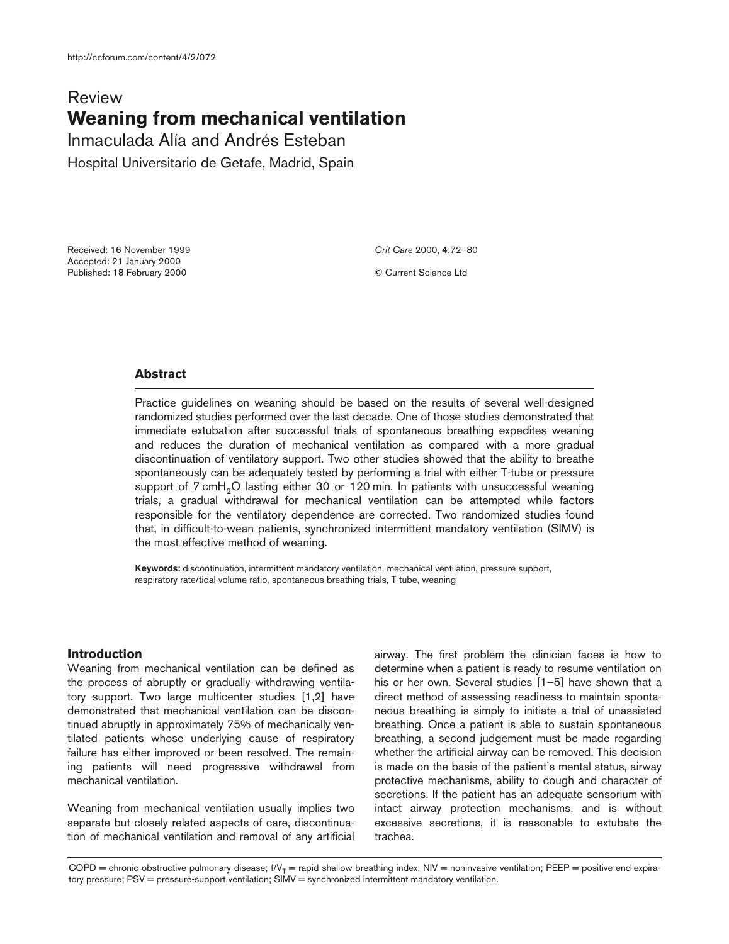# Review **Weaning from mechanical ventilation**

Inmaculada Alía and Andrés Esteban

Hospital Universitario de Getafe, Madrid, Spain

Received: 16 November 1999 Accepted: 21 January 2000 Published: 18 February 2000

*Crit Care* 2000, **4**:72–80

© Current Science Ltd

# **Abstract**

Practice guidelines on weaning should be based on the results of several well-designed randomized studies performed over the last decade. One of those studies demonstrated that immediate extubation after successful trials of spontaneous breathing expedites weaning and reduces the duration of mechanical ventilation as compared with a more gradual discontinuation of ventilatory support. Two other studies showed that the ability to breathe spontaneously can be adequately tested by performing a trial with either T-tube or pressure support of 7 cmH<sub>2</sub>O lasting either 30 or 120 min. In patients with unsuccessful weaning trials, a gradual withdrawal for mechanical ventilation can be attempted while factors responsible for the ventilatory dependence are corrected. Two randomized studies found that, in difficult-to-wean patients, synchronized intermittent mandatory ventilation (SIMV) is the most effective method of weaning.

**Keywords:** discontinuation, intermittent mandatory ventilation, mechanical ventilation, pressure support, respiratory rate/tidal volume ratio, spontaneous breathing trials, T-tube, weaning

## **Introduction**

Weaning from mechanical ventilation can be defined as the process of abruptly or gradually withdrawing ventilatory support. Two large multicenter studies [1,2] have demonstrated that mechanical ventilation can be discontinued abruptly in approximately 75% of mechanically ventilated patients whose underlying cause of respiratory failure has either improved or been resolved. The remaining patients will need progressive withdrawal from mechanical ventilation.

Weaning from mechanical ventilation usually implies two separate but closely related aspects of care, discontinuation of mechanical ventilation and removal of any artificial airway. The first problem the clinician faces is how to determine when a patient is ready to resume ventilation on his or her own. Several studies [1-5] have shown that a direct method of assessing readiness to maintain spontaneous breathing is simply to initiate a trial of unassisted breathing. Once a patient is able to sustain spontaneous breathing, a second judgement must be made regarding whether the artificial airway can be removed. This decision is made on the basis of the patient's mental status, airway protective mechanisms, ability to cough and character of secretions. If the patient has an adequate sensorium with intact airway protection mechanisms, and is without excessive secretions, it is reasonable to extubate the trachea.

COPD = chronic obstructive pulmonary disease;  $f/V_T$  = rapid shallow breathing index; NIV = noninvasive ventilation; PEEP = positive end-expiratory pressure; PSV = pressure-support ventilation; SIMV = synchronized intermittent mandatory ventilation.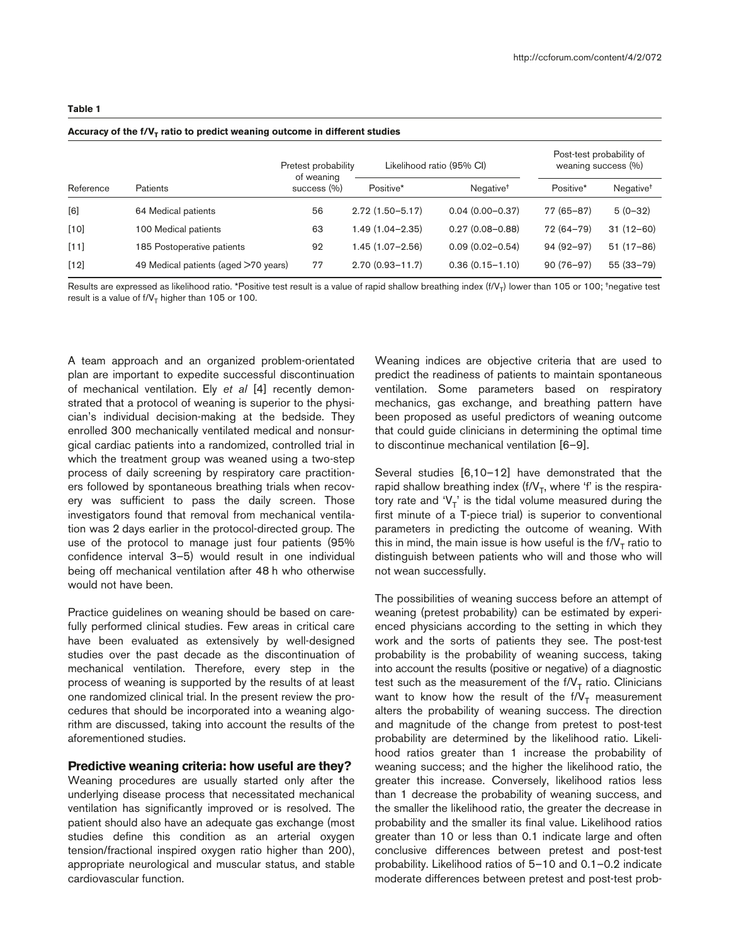# **Table 1**

| Accuracy of the $f/V_r$ ratio to predict weaning outcome in different studies |                                      |                                                  |                           |                       |                                                 |                       |  |
|-------------------------------------------------------------------------------|--------------------------------------|--------------------------------------------------|---------------------------|-----------------------|-------------------------------------------------|-----------------------|--|
|                                                                               |                                      | Pretest probability<br>of weaning<br>success (%) | Likelihood ratio (95% CI) |                       | Post-test probability of<br>weaning success (%) |                       |  |
| Reference                                                                     | Patients                             |                                                  | Positive*                 | Negative <sup>+</sup> | Positive*                                       | Negative <sup>+</sup> |  |
| [6]                                                                           | 64 Medical patients                  | 56                                               | $2.72(1.50 - 5.17)$       | $0.04(0.00 - 0.37)$   | 77 (65-87)                                      | $5(0-32)$             |  |
| $[10]$                                                                        | 100 Medical patients                 | 63                                               | $1.49(1.04 - 2.35)$       | $0.27(0.08 - 0.88)$   | 72 (64-79)                                      | $31(12-60)$           |  |
| $[11]$                                                                        | 185 Postoperative patients           | 92                                               | $1.45(1.07-2.56)$         | $0.09(0.02 - 0.54)$   | $94(92 - 97)$                                   | $51(17-86)$           |  |
| $[12]$                                                                        | 49 Medical patients (aged >70 years) | 77                                               | $2.70(0.93 - 11.7)$       | $0.36(0.15 - 1.10)$   | $90(76 - 97)$                                   | 55 (33-79)            |  |

Results are expressed as likelihood ratio. \*Positive test result is a value of rapid shallow breathing index  $(f/V_T)$  lower than 105 or 100; \*negative test result is a value of  $f/V<sub>T</sub>$  higher than 105 or 100.

A team approach and an organized problem-orientated plan are important to expedite successful discontinuation of mechanical ventilation. Ely *et al* [4] recently demonstrated that a protocol of weaning is superior to the physician's individual decision-making at the bedside. They enrolled 300 mechanically ventilated medical and nonsurgical cardiac patients into a randomized, controlled trial in which the treatment group was weaned using a two-step process of daily screening by respiratory care practitioners followed by spontaneous breathing trials when recovery was sufficient to pass the daily screen. Those investigators found that removal from mechanical ventilation was 2 days earlier in the protocol-directed group. The use of the protocol to manage just four patients (95% confidence interval 3–5) would result in one individual being off mechanical ventilation after 48 h who otherwise would not have been.

Practice guidelines on weaning should be based on carefully performed clinical studies. Few areas in critical care have been evaluated as extensively by well-designed studies over the past decade as the discontinuation of mechanical ventilation. Therefore, every step in the process of weaning is supported by the results of at least one randomized clinical trial. In the present review the procedures that should be incorporated into a weaning algorithm are discussed, taking into account the results of the aforementioned studies.

## **Predictive weaning criteria: how useful are they?**

Weaning procedures are usually started only after the underlying disease process that necessitated mechanical ventilation has significantly improved or is resolved. The patient should also have an adequate gas exchange (most studies define this condition as an arterial oxygen tension/fractional inspired oxygen ratio higher than 200), appropriate neurological and muscular status, and stable cardiovascular function.

Weaning indices are objective criteria that are used to predict the readiness of patients to maintain spontaneous ventilation. Some parameters based on respiratory mechanics, gas exchange, and breathing pattern have been proposed as useful predictors of weaning outcome that could guide clinicians in determining the optimal time to discontinue mechanical ventilation [6–9].

Several studies [6,10–12] have demonstrated that the rapid shallow breathing index  $(f/V_T)$ , where 'f' is the respiratory rate and ' $V_T$ ' is the tidal volume measured during the first minute of a T-piece trial) is superior to conventional parameters in predicting the outcome of weaning. With this in mind, the main issue is how useful is the  $f/V<sub>T</sub>$  ratio to distinguish between patients who will and those who will not wean successfully.

The possibilities of weaning success before an attempt of weaning (pretest probability) can be estimated by experienced physicians according to the setting in which they work and the sorts of patients they see. The post-test probability is the probability of weaning success, taking into account the results (positive or negative) of a diagnostic test such as the measurement of the  $f/V<sub>T</sub>$  ratio. Clinicians want to know how the result of the  $f/V<sub>T</sub>$  measurement alters the probability of weaning success. The direction and magnitude of the change from pretest to post-test probability are determined by the likelihood ratio. Likelihood ratios greater than 1 increase the probability of weaning success; and the higher the likelihood ratio, the greater this increase. Conversely, likelihood ratios less than 1 decrease the probability of weaning success, and the smaller the likelihood ratio, the greater the decrease in probability and the smaller its final value. Likelihood ratios greater than 10 or less than 0.1 indicate large and often conclusive differences between pretest and post-test probability. Likelihood ratios of 5–10 and 0.1–0.2 indicate moderate differences between pretest and post-test prob-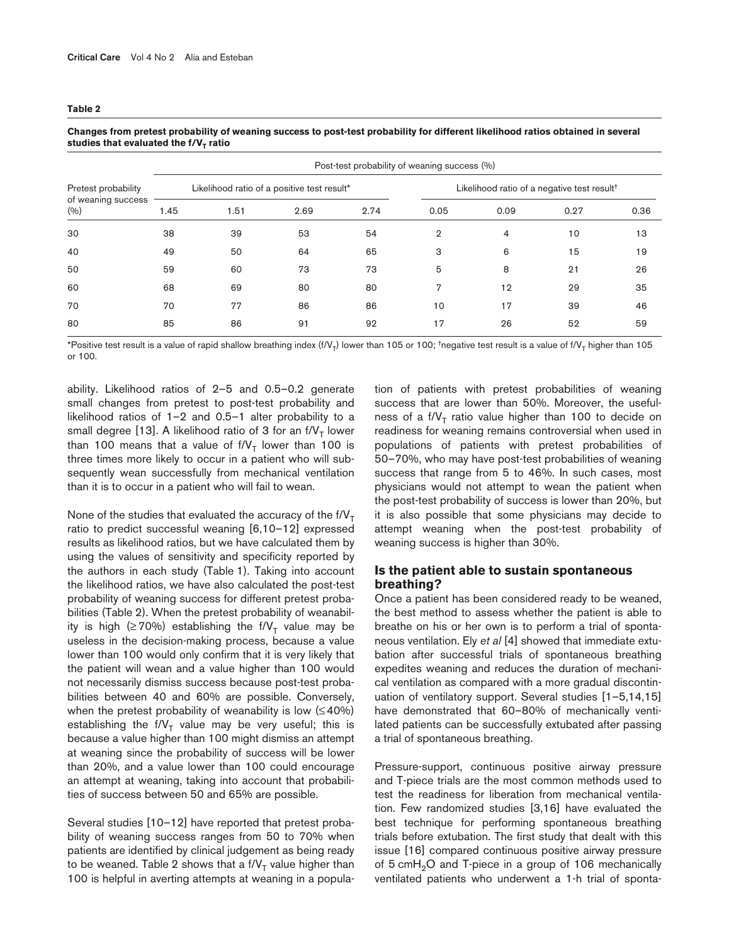#### **Table 2**

|                             | Post-test probability of weaning success (%) |      |      |                                                         |                |      |      |      |
|-----------------------------|----------------------------------------------|------|------|---------------------------------------------------------|----------------|------|------|------|
| Pretest probability         | Likelihood ratio of a positive test result*  |      |      | Likelihood ratio of a negative test result <sup>+</sup> |                |      |      |      |
| of weaning success<br>(9/0) | 1.45                                         | 1.51 | 2.69 | 2.74                                                    | 0.05           | 0.09 | 0.27 | 0.36 |
| 30                          | 38                                           | 39   | 53   | 54                                                      | $\overline{2}$ | 4    | 10   | 13   |
| 40                          | 49                                           | 50   | 64   | 65                                                      | 3              | 6    | 15   | 19   |
| 50                          | 59                                           | 60   | 73   | 73                                                      | 5              | 8    | 21   | 26   |
| 60                          | 68                                           | 69   | 80   | 80                                                      | 7              | 12   | 29   | 35   |
| 70                          | 70                                           | 77   | 86   | 86                                                      | 10             | 17   | 39   | 46   |
| 80                          | 85                                           | 86   | 91   | 92                                                      | 17             | 26   | 52   | 59   |

#### **Changes from pretest probability of weaning success to post-test probability for different likelihood ratios obtained in several** studies that evaluated the f/V<sub>T</sub> ratio

\*Positive test result is a value of rapid shallow breathing index (f/V<sub>T</sub>) lower than 105 or 100; <sup>†</sup>negative test result is a value of f/V<sub>T</sub> higher than 105 or 100.

ability. Likelihood ratios of 2–5 and 0.5–0.2 generate small changes from pretest to post-test probability and likelihood ratios of 1–2 and 0.5–1 alter probability to a small degree [13]. A likelihood ratio of 3 for an f/ $V<sub>T</sub>$  lower than 100 means that a value of  $f/V<sub>T</sub>$  lower than 100 is three times more likely to occur in a patient who will subsequently wean successfully from mechanical ventilation than it is to occur in a patient who will fail to wean.

None of the studies that evaluated the accuracy of the f/ $V<sub>T</sub>$ ratio to predict successful weaning [6,10–12] expressed results as likelihood ratios, but we have calculated them by using the values of sensitivity and specificity reported by the authors in each study (Table 1). Taking into account the likelihood ratios, we have also calculated the post-test probability of weaning success for different pretest probabilities (Table 2). When the pretest probability of weanability is high ( $\geq$  70%) establishing the f/V<sub>T</sub> value may be useless in the decision-making process, because a value lower than 100 would only confirm that it is very likely that the patient will wean and a value higher than 100 would not necessarily dismiss success because post-test probabilities between 40 and 60% are possible. Conversely, when the pretest probability of weanability is low  $(\leq 40\%)$ establishing the f/ $V<sub>T</sub>$  value may be very useful; this is because a value higher than 100 might dismiss an attempt at weaning since the probability of success will be lower than 20%, and a value lower than 100 could encourage an attempt at weaning, taking into account that probabilities of success between 50 and 65% are possible.

Several studies [10–12] have reported that pretest probability of weaning success ranges from 50 to 70% when patients are identified by clinical judgement as being ready to be weaned. Table 2 shows that a f/ $V<sub>T</sub>$  value higher than 100 is helpful in averting attempts at weaning in a population of patients with pretest probabilities of weaning success that are lower than 50%. Moreover, the usefulness of a f/ $V<sub>T</sub>$  ratio value higher than 100 to decide on readiness for weaning remains controversial when used in populations of patients with pretest probabilities of 50–70%, who may have post-test probabilities of weaning success that range from 5 to 46%. In such cases, most physicians would not attempt to wean the patient when the post-test probability of success is lower than 20%, but it is also possible that some physicians may decide to attempt weaning when the post-test probability of weaning success is higher than 30%.

# **Is the patient able to sustain spontaneous breathing?**

Once a patient has been considered ready to be weaned, the best method to assess whether the patient is able to breathe on his or her own is to perform a trial of spontaneous ventilation. Ely *et al* [4] showed that immediate extubation after successful trials of spontaneous breathing expedites weaning and reduces the duration of mechanical ventilation as compared with a more gradual discontinuation of ventilatory support. Several studies [1–5,14,15] have demonstrated that 60–80% of mechanically ventilated patients can be successfully extubated after passing a trial of spontaneous breathing.

Pressure-support, continuous positive airway pressure and T-piece trials are the most common methods used to test the readiness for liberation from mechanical ventilation. Few randomized studies [3,16] have evaluated the best technique for performing spontaneous breathing trials before extubation. The first study that dealt with this issue [16] compared continuous positive airway pressure of  $5 \text{ cm}$ H<sub>2</sub>O and T-piece in a group of 106 mechanically ventilated patients who underwent a 1-h trial of sponta-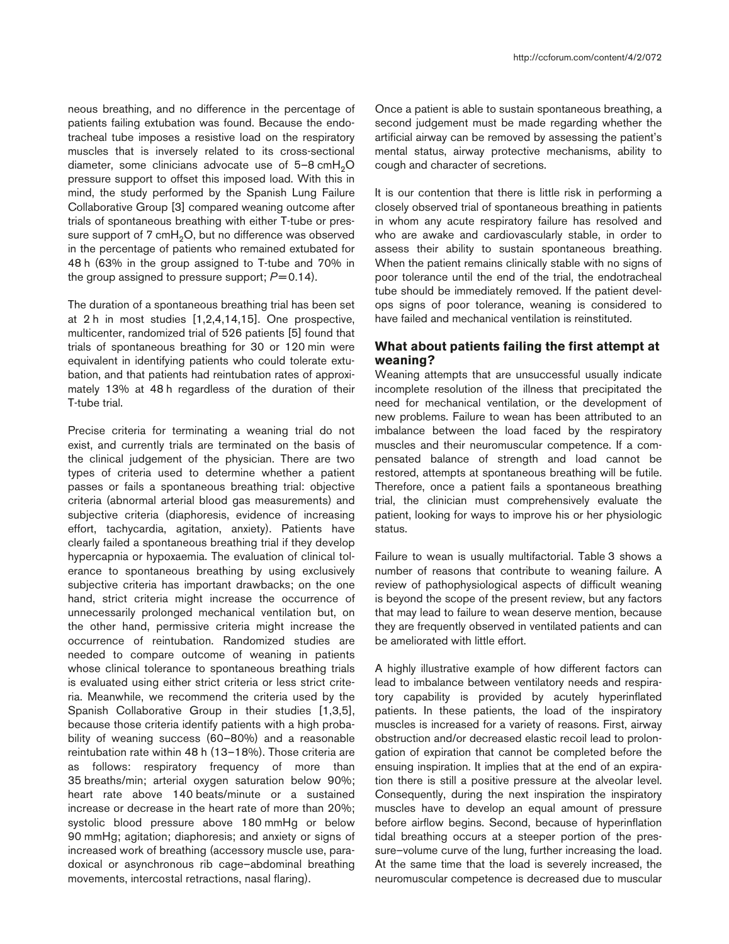neous breathing, and no difference in the percentage of patients failing extubation was found. Because the endotracheal tube imposes a resistive load on the respiratory muscles that is inversely related to its cross-sectional diameter, some clinicians advocate use of  $5-8$  cmH<sub>2</sub>O pressure support to offset this imposed load. With this in mind, the study performed by the Spanish Lung Failure Collaborative Group [3] compared weaning outcome after trials of spontaneous breathing with either T-tube or pressure support of  $7 \text{ cm}$ H<sub>2</sub>O, but no difference was observed in the percentage of patients who remained extubated for 48 h (63% in the group assigned to T-tube and 70% in the group assigned to pressure support;  $P = 0.14$ ).

The duration of a spontaneous breathing trial has been set at 2 h in most studies [1,2,4,14,15]. One prospective, multicenter, randomized trial of 526 patients [5] found that trials of spontaneous breathing for 30 or 120 min were equivalent in identifying patients who could tolerate extubation, and that patients had reintubation rates of approximately 13% at 48 h regardless of the duration of their T-tube trial.

Precise criteria for terminating a weaning trial do not exist, and currently trials are terminated on the basis of the clinical judgement of the physician. There are two types of criteria used to determine whether a patient passes or fails a spontaneous breathing trial: objective criteria (abnormal arterial blood gas measurements) and subjective criteria (diaphoresis, evidence of increasing effort, tachycardia, agitation, anxiety). Patients have clearly failed a spontaneous breathing trial if they develop hypercapnia or hypoxaemia. The evaluation of clinical tolerance to spontaneous breathing by using exclusively subjective criteria has important drawbacks; on the one hand, strict criteria might increase the occurrence of unnecessarily prolonged mechanical ventilation but, on the other hand, permissive criteria might increase the occurrence of reintubation. Randomized studies are needed to compare outcome of weaning in patients whose clinical tolerance to spontaneous breathing trials is evaluated using either strict criteria or less strict criteria. Meanwhile, we recommend the criteria used by the Spanish Collaborative Group in their studies [1,3,5], because those criteria identify patients with a high probability of weaning success (60–80%) and a reasonable reintubation rate within 48 h (13–18%). Those criteria are as follows: respiratory frequency of more than 35 breaths/min; arterial oxygen saturation below 90%; heart rate above 140 beats/minute or a sustained increase or decrease in the heart rate of more than 20%; systolic blood pressure above 180 mmHg or below 90 mmHg; agitation; diaphoresis; and anxiety or signs of increased work of breathing (accessory muscle use, paradoxical or asynchronous rib cage–abdominal breathing movements, intercostal retractions, nasal flaring).

Once a patient is able to sustain spontaneous breathing, a second judgement must be made regarding whether the artificial airway can be removed by assessing the patient's mental status, airway protective mechanisms, ability to cough and character of secretions.

It is our contention that there is little risk in performing a closely observed trial of spontaneous breathing in patients in whom any acute respiratory failure has resolved and who are awake and cardiovascularly stable, in order to assess their ability to sustain spontaneous breathing. When the patient remains clinically stable with no signs of poor tolerance until the end of the trial, the endotracheal tube should be immediately removed. If the patient develops signs of poor tolerance, weaning is considered to have failed and mechanical ventilation is reinstituted.

# **What about patients failing the first attempt at weaning?**

Weaning attempts that are unsuccessful usually indicate incomplete resolution of the illness that precipitated the need for mechanical ventilation, or the development of new problems. Failure to wean has been attributed to an imbalance between the load faced by the respiratory muscles and their neuromuscular competence. If a compensated balance of strength and load cannot be restored, attempts at spontaneous breathing will be futile. Therefore, once a patient fails a spontaneous breathing trial, the clinician must comprehensively evaluate the patient, looking for ways to improve his or her physiologic status.

Failure to wean is usually multifactorial. Table 3 shows a number of reasons that contribute to weaning failure. A review of pathophysiological aspects of difficult weaning is beyond the scope of the present review, but any factors that may lead to failure to wean deserve mention, because they are frequently observed in ventilated patients and can be ameliorated with little effort.

A highly illustrative example of how different factors can lead to imbalance between ventilatory needs and respiratory capability is provided by acutely hyperinflated patients. In these patients, the load of the inspiratory muscles is increased for a variety of reasons. First, airway obstruction and/or decreased elastic recoil lead to prolongation of expiration that cannot be completed before the ensuing inspiration. It implies that at the end of an expiration there is still a positive pressure at the alveolar level. Consequently, during the next inspiration the inspiratory muscles have to develop an equal amount of pressure before airflow begins. Second, because of hyperinflation tidal breathing occurs at a steeper portion of the pressure–volume curve of the lung, further increasing the load. At the same time that the load is severely increased, the neuromuscular competence is decreased due to muscular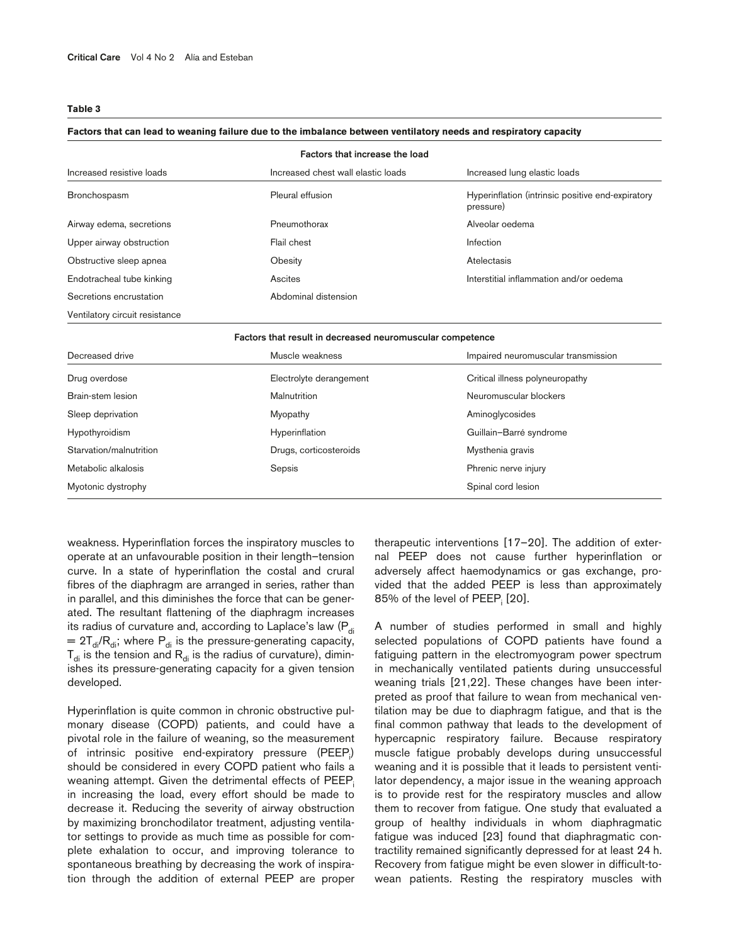|--|--|--|--|

| Factors that increase the load |                                    |                                                                |  |  |
|--------------------------------|------------------------------------|----------------------------------------------------------------|--|--|
| Increased resistive loads      | Increased chest wall elastic loads | Increased lung elastic loads                                   |  |  |
| Bronchospasm                   | Pleural effusion                   | Hyperinflation (intrinsic positive end-expiratory<br>pressure) |  |  |
| Airway edema, secretions       | Pneumothorax                       | Alveolar oedema                                                |  |  |
| Upper airway obstruction       | Flail chest                        | Infection                                                      |  |  |
| Obstructive sleep apnea        | Obesity                            | Atelectasis                                                    |  |  |
| Endotracheal tube kinking      | Ascites                            | Interstitial inflammation and/or oedema                        |  |  |
| Secretions encrustation        | Abdominal distension               |                                                                |  |  |
| Ventilatory circuit resistance |                                    |                                                                |  |  |

#### **Factors that can lead to weaning failure due to the imbalance between ventilatory needs and respiratory capacity**

**Factors that result in decreased neuromuscular competence**

| Decreased drive         | Muscle weakness         | Impaired neuromuscular transmission |
|-------------------------|-------------------------|-------------------------------------|
| Drug overdose           | Electrolyte derangement | Critical illness polyneuropathy     |
| Brain-stem lesion       | Malnutrition            | Neuromuscular blockers              |
| Sleep deprivation       | Myopathy                | Aminoglycosides                     |
| Hypothyroidism          | Hyperinflation          | Guillain-Barré syndrome             |
| Starvation/malnutrition | Drugs, corticosteroids  | Mysthenia gravis                    |
| Metabolic alkalosis     | Sepsis                  | Phrenic nerve injury                |
| Myotonic dystrophy      |                         | Spinal cord lesion                  |

weakness. Hyperinflation forces the inspiratory muscles to operate at an unfavourable position in their length–tension curve. In a state of hyperinflation the costal and crural fibres of the diaphragm are arranged in series, rather than in parallel, and this diminishes the force that can be generated. The resultant flattening of the diaphragm increases its radius of curvature and, according to Laplace's law  $(P_{di})$  $= 2T_{di}/R_{di}$ ; where  $P_{di}$  is the pressure-generating capacity,  $T_{di}$  is the tension and  $R_{di}$  is the radius of curvature), diminishes its pressure-generating capacity for a given tension developed.

Hyperinflation is quite common in chronic obstructive pulmonary disease (COPD) patients, and could have a pivotal role in the failure of weaning, so the measurement of intrinsic positive end-expiratory pressure (PEEP<sub>i</sub>) should be considered in every COPD patient who fails a weaning attempt. Given the detrimental effects of PEEP. in increasing the load, every effort should be made to decrease it. Reducing the severity of airway obstruction by maximizing bronchodilator treatment, adjusting ventilator settings to provide as much time as possible for complete exhalation to occur, and improving tolerance to spontaneous breathing by decreasing the work of inspiration through the addition of external PEEP are proper

therapeutic interventions [17–20]. The addition of external PEEP does not cause further hyperinflation or adversely affect haemodynamics or gas exchange, provided that the added PEEP is less than approximately 85% of the level of PEEP; [20].

A number of studies performed in small and highly selected populations of COPD patients have found a fatiguing pattern in the electromyogram power spectrum in mechanically ventilated patients during unsuccessful weaning trials [21,22]. These changes have been interpreted as proof that failure to wean from mechanical ventilation may be due to diaphragm fatigue, and that is the final common pathway that leads to the development of hypercapnic respiratory failure. Because respiratory muscle fatigue probably develops during unsuccessful weaning and it is possible that it leads to persistent ventilator dependency, a major issue in the weaning approach is to provide rest for the respiratory muscles and allow them to recover from fatigue. One study that evaluated a group of healthy individuals in whom diaphragmatic fatigue was induced [23] found that diaphragmatic contractility remained significantly depressed for at least 24 h. Recovery from fatigue might be even slower in difficult-towean patients. Resting the respiratory muscles with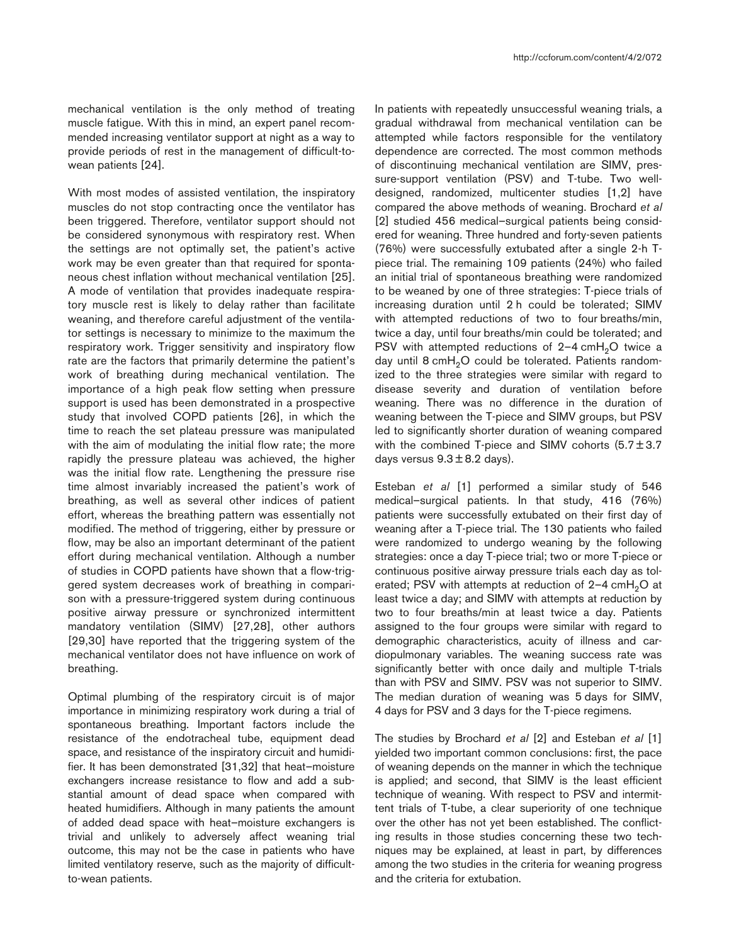mechanical ventilation is the only method of treating muscle fatigue. With this in mind, an expert panel recommended increasing ventilator support at night as a way to provide periods of rest in the management of difficult-towean patients [24].

With most modes of assisted ventilation, the inspiratory muscles do not stop contracting once the ventilator has been triggered. Therefore, ventilator support should not be considered synonymous with respiratory rest. When the settings are not optimally set, the patient's active work may be even greater than that required for spontaneous chest inflation without mechanical ventilation [25]. A mode of ventilation that provides inadequate respiratory muscle rest is likely to delay rather than facilitate weaning, and therefore careful adjustment of the ventilator settings is necessary to minimize to the maximum the respiratory work. Trigger sensitivity and inspiratory flow rate are the factors that primarily determine the patient's work of breathing during mechanical ventilation. The importance of a high peak flow setting when pressure support is used has been demonstrated in a prospective study that involved COPD patients [26], in which the time to reach the set plateau pressure was manipulated with the aim of modulating the initial flow rate; the more rapidly the pressure plateau was achieved, the higher was the initial flow rate. Lengthening the pressure rise time almost invariably increased the patient's work of breathing, as well as several other indices of patient effort, whereas the breathing pattern was essentially not modified. The method of triggering, either by pressure or flow, may be also an important determinant of the patient effort during mechanical ventilation. Although a number of studies in COPD patients have shown that a flow-triggered system decreases work of breathing in comparison with a pressure-triggered system during continuous positive airway pressure or synchronized intermittent mandatory ventilation (SIMV) [27,28], other authors [29,30] have reported that the triggering system of the mechanical ventilator does not have influence on work of breathing.

Optimal plumbing of the respiratory circuit is of major importance in minimizing respiratory work during a trial of spontaneous breathing. Important factors include the resistance of the endotracheal tube, equipment dead space, and resistance of the inspiratory circuit and humidifier. It has been demonstrated [31,32] that heat–moisture exchangers increase resistance to flow and add a substantial amount of dead space when compared with heated humidifiers. Although in many patients the amount of added dead space with heat–moisture exchangers is trivial and unlikely to adversely affect weaning trial outcome, this may not be the case in patients who have limited ventilatory reserve, such as the majority of difficultto-wean patients.

In patients with repeatedly unsuccessful weaning trials, a gradual withdrawal from mechanical ventilation can be attempted while factors responsible for the ventilatory dependence are corrected. The most common methods of discontinuing mechanical ventilation are SIMV, pressure-support ventilation (PSV) and T-tube. Two welldesigned, randomized, multicenter studies [1,2] have compared the above methods of weaning. Brochard *et al* [2] studied 456 medical–surgical patients being considered for weaning. Three hundred and forty-seven patients (76%) were successfully extubated after a single 2-h Tpiece trial. The remaining 109 patients (24%) who failed an initial trial of spontaneous breathing were randomized to be weaned by one of three strategies: T-piece trials of increasing duration until 2 h could be tolerated; SIMV with attempted reductions of two to four breaths/min, twice a day, until four breaths/min could be tolerated; and PSV with attempted reductions of  $2-4$  cmH<sub>2</sub>O twice a day until 8 cmH<sub>2</sub>O could be tolerated. Patients randomized to the three strategies were similar with regard to disease severity and duration of ventilation before weaning. There was no difference in the duration of weaning between the T-piece and SIMV groups, but PSV led to significantly shorter duration of weaning compared with the combined T-piece and SIMV cohorts  $(5.7 \pm 3.7)$ days versus  $9.3 \pm 8.2$  days).

Esteban *et al* [1] performed a similar study of 546 medical–surgical patients. In that study, 416 (76%) patients were successfully extubated on their first day of weaning after a T-piece trial. The 130 patients who failed were randomized to undergo weaning by the following strategies: once a day T-piece trial; two or more T-piece or continuous positive airway pressure trials each day as tolerated; PSV with attempts at reduction of  $2-4$  cmH<sub>2</sub>O at least twice a day; and SIMV with attempts at reduction by two to four breaths/min at least twice a day. Patients assigned to the four groups were similar with regard to demographic characteristics, acuity of illness and cardiopulmonary variables. The weaning success rate was significantly better with once daily and multiple T-trials than with PSV and SIMV. PSV was not superior to SIMV. The median duration of weaning was 5 days for SIMV, 4 days for PSV and 3 days for the T-piece regimens.

The studies by Brochard *et al* [2] and Esteban *et al* [1] yielded two important common conclusions: first, the pace of weaning depends on the manner in which the technique is applied; and second, that SIMV is the least efficient technique of weaning. With respect to PSV and intermittent trials of T-tube, a clear superiority of one technique over the other has not yet been established. The conflicting results in those studies concerning these two techniques may be explained, at least in part, by differences among the two studies in the criteria for weaning progress and the criteria for extubation.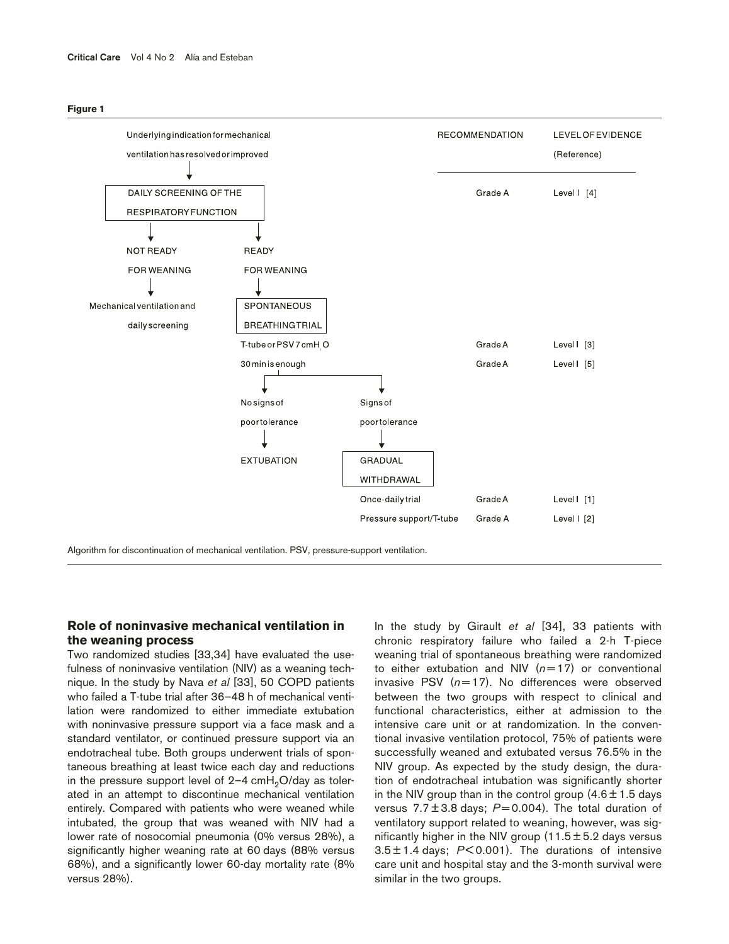

Algorithm for discontinuation of mechanical ventilation. PSV, pressure-support ventilation.

# **Role of noninvasive mechanical ventilation in the weaning process**

Two randomized studies [33,34] have evaluated the usefulness of noninvasive ventilation (NIV) as a weaning technique. In the study by Nava *et al* [33], 50 COPD patients who failed a T-tube trial after 36–48 h of mechanical ventilation were randomized to either immediate extubation with noninvasive pressure support via a face mask and a standard ventilator, or continued pressure support via an endotracheal tube. Both groups underwent trials of spontaneous breathing at least twice each day and reductions in the pressure support level of  $2-4$  cmH<sub>2</sub>O/day as tolerated in an attempt to discontinue mechanical ventilation entirely. Compared with patients who were weaned while intubated, the group that was weaned with NIV had a lower rate of nosocomial pneumonia (0% versus 28%), a significantly higher weaning rate at 60 days (88% versus 68%), and a significantly lower 60-day mortality rate (8% versus 28%).

In the study by Girault *et al* [34], 33 patients with chronic respiratory failure who failed a 2-h T-piece weaning trial of spontaneous breathing were randomized to either extubation and NIV  $(n=17)$  or conventional invasive PSV  $(n=17)$ . No differences were observed between the two groups with respect to clinical and functional characteristics, either at admission to the intensive care unit or at randomization. In the conventional invasive ventilation protocol, 75% of patients were successfully weaned and extubated versus 76.5% in the NIV group. As expected by the study design, the duration of endotracheal intubation was significantly shorter in the NIV group than in the control group  $(4.6 \pm 1.5 \text{ days})$ versus  $7.7 \pm 3.8$  days;  $P = 0.004$ ). The total duration of ventilatory support related to weaning, however, was significantly higher in the NIV group  $(11.5 \pm 5.2)$  days versus 3.5 ± 1.4 days; *P* < 0.001). The durations of intensive care unit and hospital stay and the 3-month survival were similar in the two groups.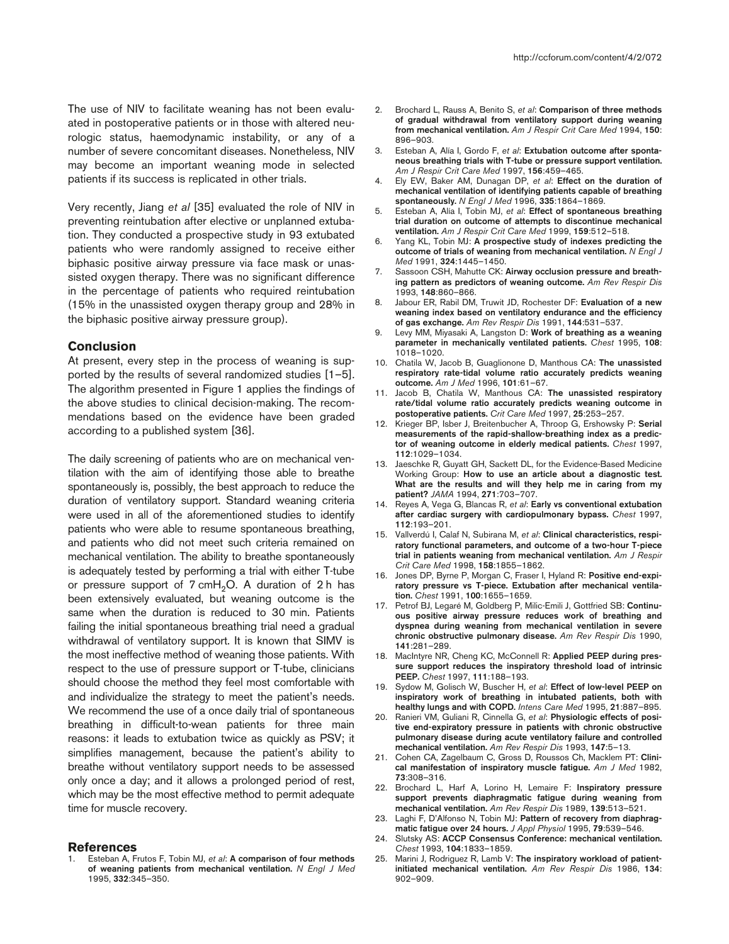The use of NIV to facilitate weaning has not been evaluated in postoperative patients or in those with altered neurologic status, haemodynamic instability, or any of a number of severe concomitant diseases. Nonetheless, NIV may become an important weaning mode in selected patients if its success is replicated in other trials.

Very recently, Jiang *et al* [35] evaluated the role of NIV in preventing reintubation after elective or unplanned extubation. They conducted a prospective study in 93 extubated patients who were randomly assigned to receive either biphasic positive airway pressure via face mask or unassisted oxygen therapy. There was no significant difference in the percentage of patients who required reintubation (15% in the unassisted oxygen therapy group and 28% in the biphasic positive airway pressure group).

## **Conclusion**

At present, every step in the process of weaning is supported by the results of several randomized studies [1–5]. The algorithm presented in Figure 1 applies the findings of the above studies to clinical decision-making. The recommendations based on the evidence have been graded according to a published system [36].

The daily screening of patients who are on mechanical ventilation with the aim of identifying those able to breathe spontaneously is, possibly, the best approach to reduce the duration of ventilatory support. Standard weaning criteria were used in all of the aforementioned studies to identify patients who were able to resume spontaneous breathing, and patients who did not meet such criteria remained on mechanical ventilation. The ability to breathe spontaneously is adequately tested by performing a trial with either T-tube or pressure support of  $7 \text{ cmH}_2O$ . A duration of 2 h has been extensively evaluated, but weaning outcome is the same when the duration is reduced to 30 min. Patients failing the initial spontaneous breathing trial need a gradual withdrawal of ventilatory support. It is known that SIMV is the most ineffective method of weaning those patients. With respect to the use of pressure support or T-tube, clinicians should choose the method they feel most comfortable with and individualize the strategy to meet the patient's needs. We recommend the use of a once daily trial of spontaneous breathing in difficult-to-wean patients for three main reasons: it leads to extubation twice as quickly as PSV; it simplifies management, because the patient's ability to breathe without ventilatory support needs to be assessed only once a day; and it allows a prolonged period of rest, which may be the most effective method to permit adequate time for muscle recovery.

#### **References**

1. Esteban A, Frutos F, Tobin MJ, *et al*: **A comparison of four methods of weaning patients from mechanical ventilation.** *N Engl J Med* 1995, **332**:345–350.

- 2. Brochard L, Rauss A, Benito S, *et al*: **Comparison of three methods of gradual withdrawal from ventilatory support during weaning from mechanical ventilation.** *Am J Respir Crit Care Med* 1994, **150**: 896–903.
- 3. Esteban A, Alía I, Gordo F, *et al*: **Extubation outcome after spontaneous breathing trials with T-tube or pressure support ventilation.** *Am J Respir Crit Care Med* 1997, **156**:459–465.
- 4. Ely EW, Baker AM, Dunagan DP, *et al*: **Effect on the duration of mechanical ventilation of identifying patients capable of breathing spontaneously.** *N Engl J Med* 1996, **335**:1864–1869.
- 5. Esteban A, Alía I, Tobin MJ, *et al*: **Effect of spontaneous breathing trial duration on outcome of attempts to discontinue mechanical ventilation.** *Am J Respir Crit Care Med* 1999, **159**:512–518.
- 6. Yang KL, Tobin MJ: **A prospective study of indexes predicting the outcome of trials of weaning from mechanical ventilation.** *N Engl J Med* 1991, **324**:1445–1450.
- 7. Sassoon CSH, Mahutte CK: **Airway occlusion pressure and breathing pattern as predictors of weaning outcome.** *Am Rev Respir Dis* 1993, **148**:860–866.
- 8. Jabour ER, Rabil DM, Truwit JD, Rochester DF: **Evaluation of a new weaning index based on ventilatory endurance and the efficiency of gas exchange.** *Am Rev Respir Dis* 1991, **144**:531–537.
- 9. Levy MM, Miyasaki A, Langston D: **Work of breathing as a weaning parameter in mechanically ventilated patients.** *Chest* 1995, **108**: 1018–1020.
- 10. Chatila W, Jacob B, Guaglionone D, Manthous CA: **The unassisted respiratory rate-tidal volume ratio accurately predicts weaning outcome.** *Am J Med* 1996, **101**:61–67.
- 11. Jacob B, Chatila W, Manthous CA: **The unassisted respiratory rate/tidal volume ratio accurately predicts weaning outcome in postoperative patients.** *Crit Care Med* 1997, **25**:253–257.
- 12. Krieger BP, Isber J, Breitenbucher A, Throop G, Ershowsky P: **Serial measurements of the rapid-shallow-breathing index as a predictor of weaning outcome in elderly medical patients.** *Chest* 1997, **112**:1029–1034.
- 13. Jaeschke R, Guyatt GH, Sackett DL, for the Evidence-Based Medicine Working Group: **How to use an article about a diagnostic test. What are the results and will they help me in caring from my patient?** *JAMA* 1994, **271**:703–707.
- 14. Reyes A, Vega G, Blancas R, *et al*: **Early vs conventional extubation after cardiac surgery with cardiopulmonary bypass.** *Chest* 1997, **112**:193–201.
- 15. Vallverdú I, Calaf N, Subirana M, *et al*: **Clinical characteristics, respiratory functional parameters, and outcome of a two-hour T-piece trial in patients weaning from mechanical ventilation.** *Am J Respir Crit Care Med* 1998, **158**:1855–1862.
- 16. Jones DP, Byrne P, Morgan C, Fraser I, Hyland R: **Positive end-expiratory pressure vs T-piece. Extubation after mechanical ventilation.** *Chest* 1991, **100**:1655–1659.
- 17. Petrof BJ, Legaré M, Goldberg P, Milic-Emili J, Gottfried SB: **Continuous positive airway pressure reduces work of breathing and dyspnea during weaning from mechanical ventilation in severe chronic obstructive pulmonary disease.** *Am Rev Respir Dis* 1990, **141**:281–289.
- 18. MacIntyre NR, Cheng KC, McConnell R: **Applied PEEP during pressure support reduces the inspiratory threshold load of intrinsic PEEP.** *Chest* 1997, **111**:188–193.
- 19. Sydow M, Golisch W, Buscher H, *et al*: **Effect of low-level PEEP on inspiratory work of breathing in intubated patients, both with healthy lungs and with COPD.** *Intens Care Med* 1995, **21**:887–895.
- 20. Ranieri VM, Guliani R, Cinnella G, *et al*: **Physiologic effects of positive end-expiratory pressure in patients with chronic obstructive pulmonary disease during acute ventilatory failure and controlled mechanical ventilation.** *Am Rev Respir Dis* 1993, **147**:5–13.
- 21. Cohen CA, Zagelbaum C, Gross D, Roussos Ch, Macklem PT: **Clinical manifestation of inspiratory muscle fatigue.** *Am J Med* 1982, **73**:308–316.
- 22. Brochard L, Harf A, Lorino H, Lemaire F: **Inspiratory pressure support prevents diaphragmatic fatigue during weaning from mechanical ventilation.** *Am Rev Respir Dis* 1989, **139**:513–521.
- 23. Laghi F, D'Alfonso N, Tobin MJ: **Pattern of recovery from diaphragmatic fatigue over 24 hours.** *J Appl Physiol* 1995, **79**:539–546.
- 24. Slutsky AS: **ACCP Consensus Conference: mechanical ventilation.** *Chest* 1993, **104**:1833–1859.
- 25. Marini J, Rodriguez R, Lamb V: **The inspiratory workload of patientinitiated mechanical ventilation.** *Am Rev Respir Dis* 1986, **134**: 902–909.